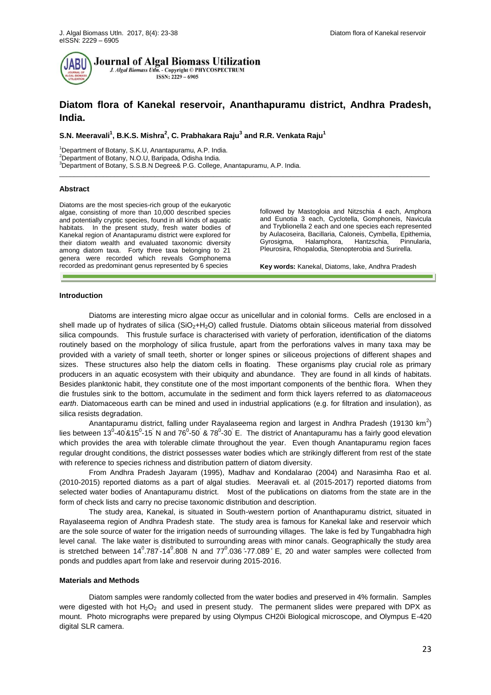

**Journal of Algal Biomass Utilization** J. Algal Biomass Utln. - Copyright © PHYCOSPECTRUM ISSN: 2229 - 6905

# **Diatom flora of Kanekal reservoir, Ananthapuramu district, Andhra Pradesh, India.**

\_\_\_\_\_\_\_\_\_\_\_\_\_\_\_\_\_\_\_\_\_\_\_\_\_\_\_\_\_\_\_\_\_\_\_\_\_\_\_\_\_\_\_\_\_\_\_\_\_\_\_\_\_\_\_\_\_\_\_\_\_\_\_\_\_\_\_\_\_\_\_\_\_\_\_\_\_\_\_\_\_\_\_\_\_\_\_\_\_\_\_\_\_\_\_\_\_\_\_\_\_

**S.N. Meeravali<sup>1</sup> , B.K.S. Mishra<sup>2</sup> , C. Prabhakara Raju<sup>3</sup> and R.R. Venkata Raju<sup>1</sup>**

<sup>1</sup>Department of Botany, S.K.U, Anantapuramu, A.P. India. <sup>2</sup>Department of Botany, N.O.U, Baripada, Odisha India. <sup>3</sup>Department of Botany, S.S.B.N Degree& P.G. College, Anantapuramu, A.P. India.

#### **Abstract**

Diatoms are the most species-rich group of the eukaryotic algae, consisting of more than 10,000 described species and potentially cryptic species, found in all kinds of aquatic habitats. In the present study, fresh water bodies of Kanekal region of Anantapuramu district were explored for their diatom wealth and evaluated taxonomic diversity among diatom taxa. Forty three taxa belonging to 21 genera were recorded which reveals Gomphonema recorded as predominant genus represented by 6 species

followed by Mastogloia and Nitzschia 4 each, Amphora and Eunotia 3 each, Cyclotella, Gomphoneis, Navicula and Tryblionella 2 each and one species each represented by Aulacoseira, Bacillaria, Caloneis, Cymbella, Epithemia,<br>Gyrosigma - Halamphora - Hantzschia - Pinnularia Pinnularia, Pleurosira, Rhopalodia, Stenopterobia and Surirella.

**Key words:** Kanekal, Diatoms, lake, Andhra Pradesh

### **Introduction**

Diatoms are interesting micro algae occur as unicellular and in colonial forms. Cells are enclosed in a shell made up of hydrates of silica (SiO<sub>2</sub>+H<sub>2</sub>O) called frustule. Diatoms obtain siliceous material from dissolved silica compounds. This frustule surface is characterised with variety of perforation, identification of the diatoms routinely based on the morphology of silica frustule, apart from the perforations valves in many taxa may be provided with a variety of small teeth, shorter or longer spines or siliceous projections of different shapes and sizes. These structures also help the diatom cells in floating. These organisms play crucial role as primary producers in an aquatic ecosystem with their ubiquity and abundance. They are found in all kinds of habitats. Besides planktonic habit, they constitute one of the most important components of the benthic flora. When they die frustules sink to the bottom, accumulate in the sediment and form thick layers referred to as *diatomaceous earth*. Diatomaceous earth can be mined and used in industrial applications (e.g. for filtration and insulation), as silica resists degradation.

Anantapuramu district, falling under Rayalaseema region and largest in Andhra Pradesh (19130 km<sup>2</sup>) lies between 13<sup>0</sup>-40<sup>'</sup>&15<sup>0</sup>-15<sup>'</sup> N and 76<sup>0</sup>-50<sup>'</sup> & 78<sup>0</sup>-30<sup>'</sup> E. The district of Anantapuramu has a fairly good elevation which provides the area with tolerable climate throughout the year. Even though Anantapuramu region faces regular drought conditions, the district possesses water bodies which are strikingly different from rest of the state with reference to species richness and distribution pattern of diatom diversity.

From Andhra Pradesh Jayaram (1995), Madhav and Kondalarao (2004) and Narasimha Rao et al. (2010-2015) reported diatoms as a part of algal studies. Meeravali et. al (2015-2017) reported diatoms from selected water bodies of Anantapuramu district. Most of the publications on diatoms from the state are in the form of check lists and carry no precise taxonomic distribution and description.

The study area, Kanekal, is situated in South-western portion of Ananthapuramu district, situated in Rayalaseema region of Andhra Pradesh state. The study area is famous for Kanekal lake and reservoir which are the sole source of water for the irrigation needs of surrounding villages. The lake is fed by Tungabhadra high level canal. The lake water is distributed to surrounding areas with minor canals. Geographically the study area is stretched between  $14^0.787 - 14^0.808$  N and  $77^0.036 - 77.089$  E, 20 and water samples were collected from ponds and puddles apart from lake and reservoir during 2015-2016.

#### **Materials and Methods**

Diatom samples were randomly collected from the water bodies and preserved in 4% formalin. Samples were digested with hot  $H_2O_2$  and used in present study. The permanent slides were prepared with DPX as mount. Photo micrographs were prepared by using Olympus CH20i Biological microscope, and Olympus E-420 digital SLR camera.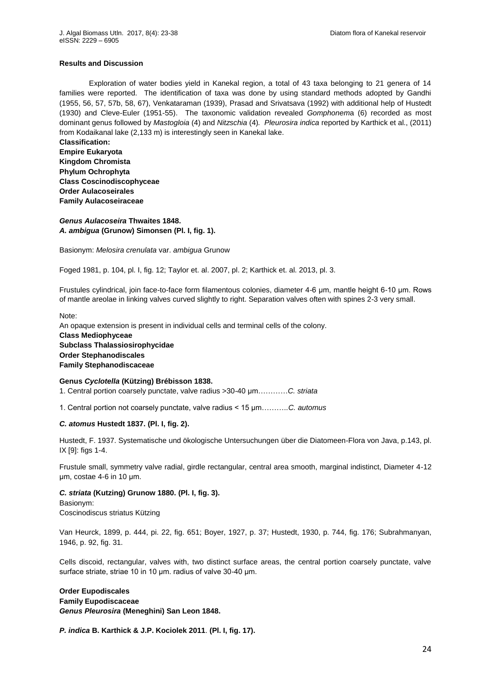### **Results and Discussion**

Exploration of water bodies yield in Kanekal region, a total of 43 taxa belonging to 21 genera of 14 families were reported. The identification of taxa was done by using standard methods adopted by Gandhi (1955, 56, 57, 57b, 58, 67), Venkataraman (1939), Prasad and Srivatsava (1992) with additional help of Hustedt (1930) and Cleve-Euler (1951-55). The taxonomic validation revealed *Gomphonem*a (6) recorded as most dominant genus followed by *Mastogloia* (4) and *Nitzschia* (4)*. Pleurosira indica* reported by Karthick et al., (2011) from Kodaikanal lake (2,133 m) is interestingly seen in Kanekal lake.

**Classification: Empire [Eukaryota](http://www.algaebase.org/browse/taxonomy/?id=86701) Kingdom [Chromista](http://www.algaebase.org/browse/taxonomy/?id=86704) Phylum Ochrophyta Class Coscinodiscophyceae Order [Aulacoseirales](http://www.algaebase.org/browse/taxonomy/?id=77875) Family [Aulacoseiraceae](http://www.algaebase.org/browse/taxonomy/?id=77933)**

*Genus Aulacoseira* **Thwaites 1848.** *A. ambigua* **(Grunow) Simonsen (Pl. I, fig. 1).**

Basionym: *Melosira crenulata* var. *ambigua* Grunow

Foged 1981, p. 104, pl. I, fig. 12; Taylor et. al. 2007, pl. 2; Karthick et. al. 2013, pl. 3.

Frustules cylindrical, join face-to-face form filamentous colonies, diameter 4-6 μm, mantle height 6-1 μm Rows of mantle areolae in linking valves curved slightly to right. Separation valves often with spines 2-3 very small.

Note:

An opaque extension is present in individual cells and terminal cells of the colony. **Class Mediophyceae Subclass [Thalassiosirophycidae](http://www.algaebase.org/browse/taxonomy/?id=139125) Order [Stephanodiscales](http://www.algaebase.org/browse/taxonomy/?id=145080) Family [Stephanodiscaceae](http://www.algaebase.org/browse/taxonomy/?id=77610)**

**Genus** *Cyclotella* **(Kützing) Brébisson 1838.** 1. Central portion coarsely punctate, valve radius >30-40 μm…………*C. striata*

1 Central portion not coarsely punctate, valve radius < 15 μm……… *C. automus*

# *C. atomus* **Hustedt 1837. (Pl. I, fig. 2).**

Hustedt, F. 1937. Systematische und ökologische Untersuchungen über die Diatomeen-Flora von Java, p.143, pl. IX [9]: figs 1-4.

Frustule small, symmetry valve radial, girdle rectangular, central area smooth, marginal indistinct, Diameter 4-12 μm, costae 4-6 in 10 μm

*C. striata* **(Kutzing) Grunow 1880. (Pl. I, fig. 3).**

Basionym: [Coscinodiscus striatus Kützing](http://www.algaebase.org/search/species/detail/?species_id=f3432c7475d274dbf)

Van Heurck, 1899, p. 444, pi. 22, fig. 651; Boyer, 1927, p. 37; Hustedt, 1930, p. 744, fig. 176; Subrahmanyan, 1946, p. 92, fig. 31.

Cells discoid, rectangular, valves with, two distinct surface areas, the central portion coarsely punctate, valve surface striate, striae 10 in 10 μm. radius of valve 30-40 μm.

**Order [Eupodiscales](http://www.algaebase.org/browse/taxonomy/?id=109848) Family [Eupodiscaceae](http://www.algaebase.org/browse/taxonomy/?id=109849)** *Genus Pleurosira* **(Meneghini) San Leon 1848.** 

*P. indica* **B. Karthick & J.P. Kociolek 2011**. **(Pl. I, fig. 17).**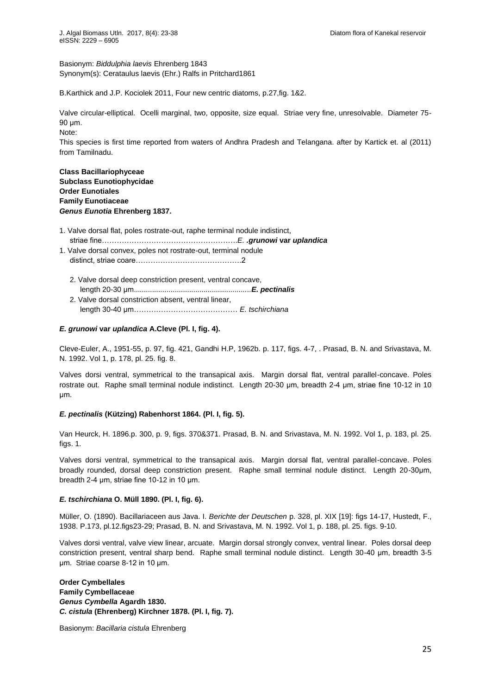Basionym: *Biddulphia laevis* Ehrenberg 1843 Synonym(s): Cerataulus laevis (Ehr.) Ralfs in Pritchard1861

B.Karthick and J.P. Kociolek 2011, Four new centric diatoms, p.27,fig. 1&2.

Valve circular-elliptical. Ocelli marginal, two, opposite, size equal. Striae very fine, unresolvable. Diameter 75- 90 μm.

Note:

This species is first time reported from waters of Andhra Pradesh and Telangana. after by Kartick et. al (2011) from Tamilnadu.

# **Class [Bacillariophyceae](http://www.algaebase.org/browse/taxonomy/?id=4337) Subclass [Eunotiophycidae](http://www.algaebase.org/browse/taxonomy/?id=139127) Order [Eunotiales](http://www.algaebase.org/browse/taxonomy/?id=4492) Family [Eunotiaceae](http://www.algaebase.org/browse/taxonomy/?id=77631)** *Genus Eunotia* **Ehrenberg 1837.**

# 1. Valve dorsal flat, poles rostrate-out, raphe terminal nodule indistinct, striae fine……………………………………………… *E. .grunowi* **var** *uplandica*

- 1. Valve dorsal convex, poles not rostrate-out, terminal nodule distinct, striae coare…………………………………… 2
	- 2. Valve dorsal deep constriction present, ventral concave, length 20-30 μm *......................................................E. pectinalis* 2. Valve dorsal constriction absent, ventral linear,
	- length 30-40 μm…………………………………… *E. tschirchiana*

# *E. grunowi* **var** *uplandica* **A.Cleve (Pl. I, fig. 4).**

Cleve-Euler, A., 1951-55, p. 97, fig. 421, Gandhi H.P, 1962b. p. 117, figs. 4-7, . Prasad, B. N. and Srivastava, M. N. 1992. Vol 1, p. 178, pl. 25. fig. 8.

Valves dorsi ventral, symmetrical to the transapical axis. Margin dorsal flat, ventral parallel-concave. Poles rostrate out. Raphe small terminal nodule indistinct. Length 20-30 um, breadth 2-4 um, striae fine 10-12 in 10 μm

# *E. pectinalis* **(Kützing) Rabenhorst 1864. (Pl. I, fig. 5).**

Van Heurck, H. 1896.p. 300, p. 9, figs. 370&371. Prasad, B. N. and Srivastava, M. N. 1992. Vol 1, p. 183, pl. 25. figs. 1.

Valves dorsi ventral, symmetrical to the transapical axis. Margin dorsal flat, ventral parallel-concave. Poles broadly rounded, dorsal deep constriction present. Raphe small terminal nodule distinct. Length 20-3 μm, breadth 2-4  $\mu$ m, striae fine 10-12 in 10  $\mu$ m.

# *E. tschirchiana* **O. Müll 1890. (Pl. I, fig. 6).**

Müller, O. (1890). Bacillariaceen aus Java. I. *Berichte der Deutschen* p. 328, pl. XIX [19]: figs 14-17, Hustedt, F., 1938. P.173, pl.12.figs23-29; Prasad, B. N. and Srivastava, M. N. 1992. Vol 1, p. 188, pl. 25. figs. 9-10.

Valves dorsi ventral, valve view linear, arcuate. Margin dorsal strongly convex, ventral linear. Poles dorsal deep constriction present, ventral sharp bend. Raphe small terminal nodule distinct. Length 30-4 μm, breadth 3-5 μm. Striae coarse 8-12 in 10 μm.

**Order [Cymbellales](http://www.algaebase.org/browse/taxonomy/?id=77853) Family Cymbellaceae**  *Genus Cymbella* **Agardh 1830.** *C. cistula* **(Ehrenberg) Kirchner 1878. (Pl. I, fig. 7).**

Basionym: *[Bacillaria cistula](http://www.algaebase.org/search/species/detail/?species_id=D8e1707a8582cfca4)* Ehrenberg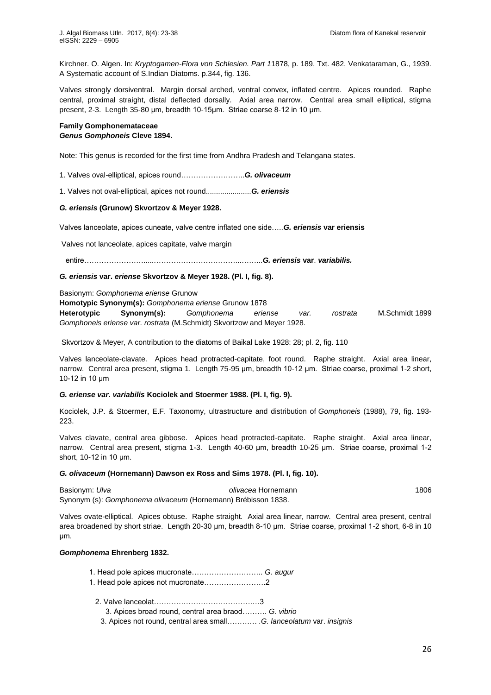Kirchner. O. Algen. In: *Kryptogamen-Flora von Schlesien. Part 1*1878, p. 189, Txt. 482, Venkataraman, G., 1939. A Systematic account of S.Indian Diatoms. p.344, fig. 136.

Valves strongly dorsiventral. Margin dorsal arched, ventral convex, inflated centre. Apices rounded. Raphe central, proximal straight, distal deflected dorsally. Axial area narrow. Central area small elliptical, stigma present, 2-3. Length 35-80 μm, breadth 10-15μm. Striae coarse 8-12 in 10 μm.

#### **Family Gomphonemataceae** *Genus Gomphoneis* **Cleve 1894.**

Note: This genus is recorded for the first time from Andhra Pradesh and Telangana states.

1. Valves oval-elliptical, apices round…………………… *G. olivaceum*

1. Valves not oval-elliptical, apices not round......................*G. eriensis*

### *G. eriensis* **(Grunow) Skvortzov & Meyer 1928.**

Valves lanceolate, apices cuneate, valve centre inflated one side… *G. eriensis* **var eriensis**

Valves not lanceolate, apices capitate, valve margin

entire…………………… …………………………… …… *G. eriensis* **var**. *variabilis.*

# *G. eriensis* **var.** *eriense* **Skvortzov & Meyer 1928. (Pl. I, fig. 8).**

Basionym: *[Gomphonema eriense](http://www.algaebase.org/search/species/detail/?species_id=E650fc2317f5fc938)* Grunow

**Homotypic Synonym(s):** *[Gomphonema eriense](http://www.algaebase.org/search/species/detail/?species_id=G650fc2317f5fc938)* Grunow 1878

**Heterotypic Synonym(s):** *[Gomphonema eriense var. rostrata](http://www.algaebase.org/search/species/detail/?species_id=Q004a854407ab99f1)* M.Schmidt 1899 *Gomphoneis eriense var. rostrata* [\(M.Schmidt\) Skvortzow and Meyer](http://www.algaebase.org/search/species/detail/?species_id=S91a4e1abd7abb3f1) 1928.

Skvortzov & Meyer, A contribution to the diatoms of Baikal Lake 1928: 28; pl. 2, fig. 110

Valves lanceolate-clavate. Apices head protracted-capitate, foot round. Raphe straight. Axial area linear, narrow. Central area present, stigma 1. Length 75-95 μm, breadth 10-12 μm. Striae coarse, proximal 1-2 short,  $10-12$  in 10  $\mu$ m

## *G. eriense var. variabilis* **Kociolek and Stoermer 1988. (Pl. I, fig. 9).**

Kociolek, J.P. & Stoermer, E.F. Taxonomy, ultrastructure and distribution of *Gomphoneis* (1988), 79, fig. 193- 223.

Valves clavate, central area gibbose. Apices head protracted-capitate. Raphe straight. Axial area linear, narrow. Central area present, stigma 1-3. Length 40-60 μm, breadth 10-25 μm. Striae coarse, proximal 1-2 short, 10-12 in 10 um.

#### *G. olivaceum* **(Hornemann) Dawson ex Ross and Sims 1978. (Pl. I, fig. 10).**

Basionym: *Ulva olivacea* Hornemann 1806 Synonym (s): *Gomphonema olivaceum* (Hornemann) Brébisson 1838.

Valves ovate-elliptical. Apices obtuse. Raphe straight. Axial area linear, narrow. Central area present, central area broadened by short striae. Length 20-30 μm, breadth 8-10 μm. Striae coarse, proximal 1-2 short, 6-8 in 10 μm

#### *Gomphonema* **Ehrenberg 1832.**

- 1 Head pole apices mucronate……………………… *G. augur*
- 1 Head pole apices not mucronate…………………… 2
	- 2 Valve lanceolat………………………………… …3
		- 3 Apices broad round, central area braod……… *G. vibrio*
		- 3. Apices not round, central area small………… *.G. lanceolatum* var. *insignis*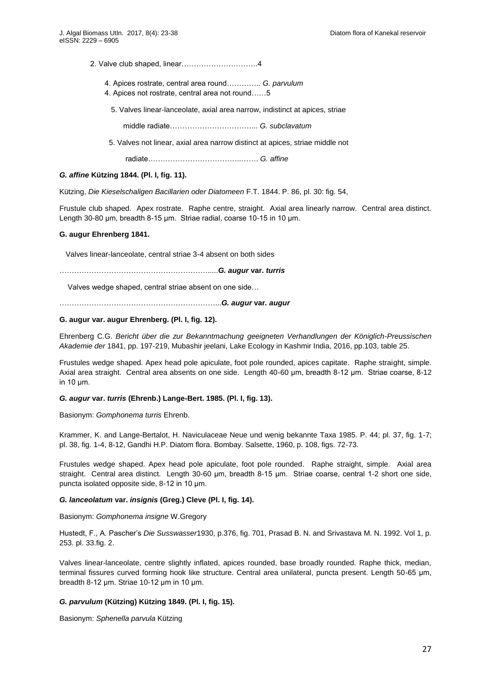- 2 Valve club shaped, linear………………………… 4
	- 4 Apices rostrate, central area round………… *G. parvulum*
	- 4 Apices not rostrate, central area not round……5

5. Valves linear-lanceolate, axial area narrow, indistinct at apices, striae

middle radiate…………………………… *G. subclavatum*

5. Valves not linear, axial area narrow distinct at apices, striae middle not

radiate……………………………… …… *G. affine*

# *G. affine* **Kützing 1844. (Pl. I, fig. 11).**

Kützing, *Die Kieselschaligen Bacillarien oder Diatomeen* F.T. 1844. P. 86, pl. 30: fig. 54,

Frustule club shaped. Apex rostrate. Raphe centre, straight. Axial area linearly narrow. Central area distinct. Length 30-80 μm, breadth 8-15 μm. Striae radial, coarse 10-15 in 10 μm.

### **G. augur Ehrenberg 1841.**

Valves linear-lanceolate, central striae 3-4 absent on both sides

…………………………………………………… *G. augur* **var.** *turris*

Valves wedge shaped, central striae absent on one side…

……………………………………………………… *G. augur* **var***. augur*

# **G. augur var. augur Ehrenberg. (Pl. I, fig. 12).**

Ehrenberg C.G. *Bericht über die zur Bekanntmachung geeigneten Verhandlungen der Königlich-Preussischen Akademie der* 1841, pp. 197-219, Mubashir jeelani, Lake Ecology in Kashmir India, 2016, pp.103, table 25.

Frustules wedge shaped. Apex head pole apiculate, foot pole rounded, apices capitate. Raphe straight, simple. Axial area straight. Central area absents on one side. Length 40-60 μm, breadth 8-12 μm. Striae coarse, 8-12 in  $10 \mu m$ .

## *G. augur* **var.** *turris* **(Ehrenb.) Lange-Bert. 1985. (Pl. I, fig. 13).**

Basionym: *Gomphonema turris* Ehrenb.

Krammer, K. and Lange-Bertalot, H. Naviculaceae Neue und wenig bekannte Taxa 1985. P. 44; pl. 37, fig. 1-7; pl. 38, fig. 1-4, 8-12, Gandhi H.P. Diatom flora. Bombay. Salsette, 1960, p. 108, figs. 72-73.

Frustules wedge shaped. Apex head pole apiculate, foot pole rounded. Raphe straight, simple. Axial area straight. Central area distinct. Length 30-60 μm, breadth 8-15 μm. Striae coarse, central 1-2 short one side, puncta isolated opposite side, 8-12 in 10 μm.

### *G. lanceolatum* **var.** *insignis* **(Greg.) Cleve (Pl. I, fig. 14).**

Basionym: *[Gomphonema insigne](http://www.algaebase.org/search/species/detail/?species_id=hf34a62c168fd7109)* W.Gregory

Hustedt, F , A Pascher's *Die Susswasser*1930, p.376, fig. 701, Prasad B. N. and Srivastava M. N. 1992. Vol 1, p. 253. pl. 33.fig. 2.

Valves linear-lanceolate, centre slightly inflated, apices rounded, base broadly rounded. Raphe thick, median, terminal fissures curved forming hook like structure. Central area unilateral, puncta present. Length 50-65 μm, breadth 8-12 μm. Striae 10-12 μm in 10 μm.

### *G. parvulum* **(Kützing) Kützing 1849. (Pl. I, fig. 15).**

Basionym: *[Sphenella parvula](http://www.algaebase.org/search/species/detail/?species_id=Wca5690c7eeaa0a39)* Kützing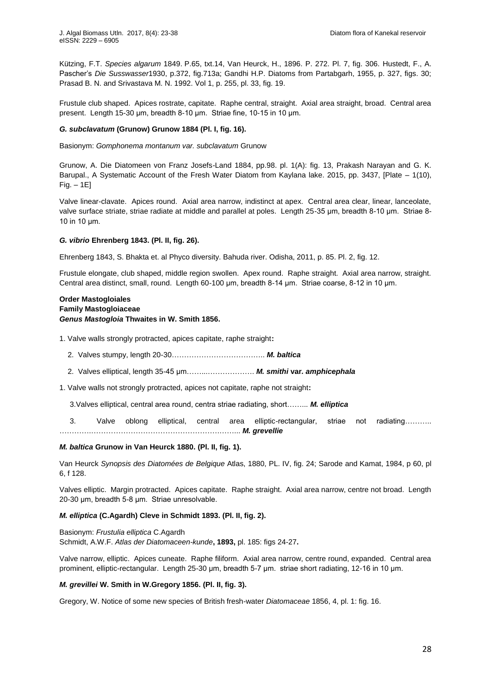Kützing, F.T. *Species algarum* 1849. P.65, txt.14, Van Heurck, H., 1896. P. 272. Pl. 7, fig. 306. Hustedt, F., A. Pascher's *Die Susswasser*1930, p.372, fig.713a; Gandhi H.P. Diatoms from Partabgarh, 1955, p. 327, figs. 30; Prasad B. N. and Srivastava M. N. 1992. Vol 1, p. 255, pl. 33, fig. 19.

Frustule club shaped. Apices rostrate, capitate. Raphe central, straight. Axial area straight, broad. Central area present. Length 15-30 μm, breadth 8-10 μm. Striae fine, 10-15 in 10 μm.

# *G. subclavatum* **(Grunow) Grunow 1884 (Pl. I, fig. 16).**

Basionym: *[Gomphonema montanum var. subclavatum](http://www.algaebase.org/search/species/detail/?species_id=a59681eb7496db356)* Grunow

Grunow, A. Die Diatomeen von Franz Josefs-Land 1884, pp.98. pl. 1(A): fig. 13, Prakash Narayan and G. K. Barupal., A Systematic Account of the Fresh Water Diatom from Kaylana lake. 2015, pp. 3437, [Plate – 1(10), Fig. – 1E]

Valve linear-clavate. Apices round. Axial area narrow, indistinct at apex. Central area clear, linear, lanceolate, valve surface striate, striae radiate at middle and parallel at poles. Length 25-35 μm, breadth 8-10 μm. Striae 8-10 in 10  $\mu$ m.

# *G. vibrio* **Ehrenberg 1843. (Pl. II, fig. 26).**

Ehrenberg 1843, S. Bhakta et. al Phyco diversity. Bahuda river. Odisha, 2011, p. 85. Pl. 2, fig. 12.

Frustule elongate, club shaped, middle region swollen. Apex round. Raphe straight. Axial area narrow, straight. Central area distinct, small, round. Length 60-100 μm, breadth 8-14 μm. Striae coarse, 8-12 in 10 μm.

# **Order [Mastogloiales](http://www.algaebase.org/browse/taxonomy/?id=77861) Family [Mastogloiaceae](http://www.algaebase.org/browse/taxonomy/?id=77904)** *Genus Mastogloia* **Thwaites in W. Smith 1856.**

1. Valve walls strongly protracted, apices capitate, raphe straight**:**

- 2. Valves stumpy, length 20-30……………………………… *M. baltica*
- 2. Valves elliptical, length 35-45 μm…… ……………… *M. smithi* **var***. amphicephala*
- 1. Valve walls not strongly protracted, apices not capitate, raphe not straight**:**

3.Valves elliptical, central area round, centra striae radiating, short…… *M. elliptica*

 3. Valve oblong elliptical, central area elliptic-rectangular, striae not radiating……… ………… …………………………………………… …… *M. grevellie*

### *M. baltica* **Grunow in Van Heurck 1880. (Pl. II, fig. 1).**

Van Heurck *Synopsis des Diatomées de Belgique* Atlas, 1880, PL. IV, fig. 24; Sarode and Kamat, 1984, p 60, pl 6, f 128.

Valves elliptic. Margin protracted. Apices capitate. Raphe straight. Axial area narrow, centre not broad. Length 20-30 μm, breadth 5-8 μm. Striae unresolvable.

# *M. elliptica* **(C.Agardh) Cleve in Schmidt 1893. (Pl. II, fig. 2).**

Basionym: *[Frustulia elliptica](http://www.algaebase.org/search/species/detail/?species_id=E25925661c92d53c4)* C.Agardh Schmidt, A.W.F. *Atlas der Diatomaceen-kunde***, 1893,** pl. 185: figs 24-27**.**

Valve narrow, elliptic. Apices cuneate. Raphe filiform. Axial area narrow, centre round, expanded. Central area prominent, elliptic-rectangular. Length 25-30 μm, breadth 5-7 μm. striae short radiating, 12-16 in 10 μm.

## *M. grevillei* **W. Smith in W.Gregory 1856. (Pl. II, fig. 3).**

Gregory, W. Notice of some new species of British fresh-water *Diatomaceae* 1856, 4, pl. 1: fig. 16.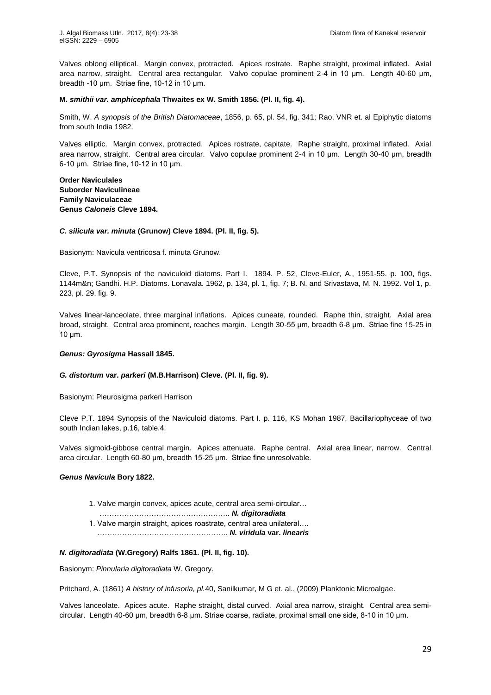Valves oblong elliptical. Margin convex, protracted. Apices rostrate. Raphe straight, proximal inflated. Axial area narrow, straight. Central area rectangular. Valvo copulae prominent 2-4 in 10 μm. Length 40-60 μm, breadth -10 μm. Striae fine, 10-12 in 10 μm.

# **[M.](http://www.algaebase.org/search/?genus=Mastogloia)** *smithii var. amphicephala* **Thwaites ex W. Smith 1856. (Pl. II, fig. 4).**

Smith, W. *A synopsis of the British Diatomaceae*, 1856, p. 65, pl. 54, fig. 341; Rao, VNR et. al Epiphytic diatoms from south India 1982.

Valves elliptic. Margin convex, protracted. Apices rostrate, capitate. Raphe straight, proximal inflated. Axial area narrow, straight. Central area circular. Valvo copulae prominent 2-4 in 10 μm. Length 30-40 μm, breadth  $6-10$  μm. Striae fine, 10-12 in 10 μm.

**Order [Naviculales](http://www.algaebase.org/browse/taxonomy/?id=4490) Suborder [Naviculineae](http://www.algaebase.org/browse/taxonomy/?id=139133) Family [Naviculaceae](http://www.algaebase.org/browse/taxonomy/?id=77626) Genus** *Caloneis* **Cleve 1894.**

### *C. silicula var. minuta* **(Grunow) Cleve 1894. (Pl. II, fig. 5).**

Basionym[: Navicula ventricosa f. minuta Grunow.](http://www.algaebase.org/search/species/detail/?species_id=Q38dce966630d0ffb)

Cleve, P.T. Synopsis of the naviculoid diatoms. Part I. 1894. P. 52, Cleve-Euler, A., 1951-55. p. 100, figs. 1144m&n; Gandhi. H.P. Diatoms. Lonavala. 1962, p. 134, pl. 1, fig. 7; B. N. and Srivastava, M. N. 1992. Vol 1, p. 223, pl. 29. fig. 9.

Valves linear-lanceolate, three marginal inflations. Apices cuneate, rounded. Raphe thin, straight. Axial area broad, straight. Central area prominent, reaches margin. Length 30-55 μm, breadth 6-8 μm. Striae fine 15-25 in  $10$  μm.

# *Genus: Gyrosigma* **Hassall 1845.**

### *G. distortum* **var.** *parkeri* **(M.B.Harrison) Cleve. (Pl. II, fig. 9).**

Basionym[: Pleurosigma parkeri Harrison](http://www.algaebase.org/search/species/detail/?species_id=U6914902bd357dddf)

Cleve P.T. 1894 Synopsis of the Naviculoid diatoms. Part I. p. 116, KS Mohan 1987, Bacillariophyceae of two south Indian lakes, p.16, table.4.

Valves sigmoid-gibbose central margin. Apices attenuate. Raphe central. Axial area linear, narrow. Central area circular. Length 60-80 μm, breadth 15-25 μm. Striae fine unresolvable.

#### *Genus Navicula* **Bory 1822.**

- 1. Valve margin convex, apices acute, central area semi-circular…
	- …………………………………………… *N. digitoradiata*
- 1. Valve margin straight, apices roastrate, central area unilateral.... …………………………………………… *N. viridula* **var.** *linearis*

# *N. digitoradiata* **(W.Gregory) Ralfs 1861. (Pl. II, fig. 10).**

Basionym: *Pinnularia digitoradiata* W. Gregory.

Pritchard, A. (1861) *A history of infusoria, pl.*40, Sanilkumar, M G et. al., (2009) Planktonic Microalgae.

Valves lanceolate. Apices acute. Raphe straight, distal curved. Axial area narrow, straight. Central area semicircular. Length 40-60 μm, breadth 6-8 μm. Striae coarse, radiate, proximal small one side, 8-10 in 10 μm.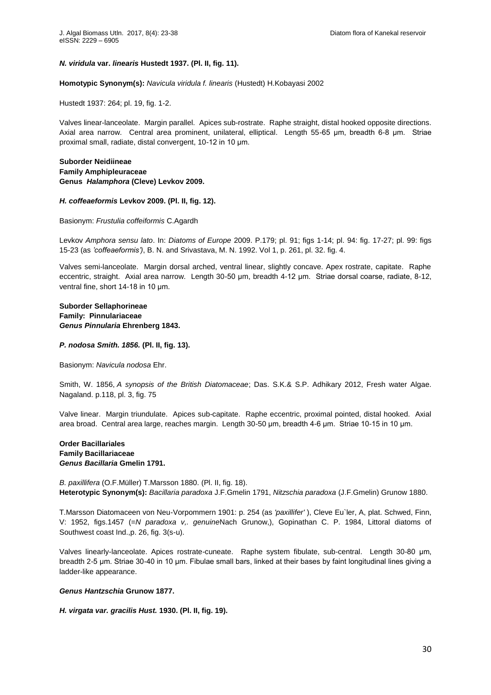# *N. viridula* **var.** *linearis* **Hustedt 1937. (Pl. II, fig. 11).**

**Homotypic Synonym(s):** *[Navicula viridula f. linearis](http://www.algaebase.org/search/species/detail/?species_id=db10db2f60a31b07b)* (Hustedt) H.Kobayasi 2002

Hustedt 1937: 264; pl. 19, fig. 1-2.

Valves linear-lanceolate. Margin parallel. Apices sub-rostrate. Raphe straight, distal hooked opposite directions. Axial area narrow. Central area prominent, unilateral, elliptical. Length 55-65 μm, breadth 6-8 μm. Striae proximal small, radiate, distal convergent, 10-12 in 10 μm.

# **Suborder [Neidiineae](http://www.algaebase.org/browse/taxonomy/?id=139130) Family [Amphipleuraceae](http://www.algaebase.org/browse/taxonomy/?id=77641) Genus** *Halamphora* **(Cleve) Levkov 2009.**

### *H. coffeaeformis* **Levkov 2009. (Pl. II, fig. 12).**

Basionym: *[Frustulia coffeiformis](http://www.algaebase.org/search/species/detail/?species_id=Y0e3daa2ebfb9f3b7)* C.Agardh

Levkov *Amphora sensu lato*. In: *Diatoms of Europe* 2009. P.179; pl. 91; figs 1-14; pl. 94: fig. 17-27; pl. 99: figs 15-23 (as *'coffeaeformis')*, B. N. and Srivastava, M. N. 1992. Vol 1, p. 261, pl. 32. fig. 4.

Valves semi-lanceolate. Margin dorsal arched, ventral linear, slightly concave. Apex rostrate, capitate. Raphe eccentric, straight. Axial area narrow. Length 30-50 um, breadth 4-12 um. Striae dorsal coarse, radiate, 8-12, ventral fine, short 14-18 in 10 um.

# **Suborder [Sellaphorineae](http://www.algaebase.org/browse/taxonomy/?id=139131) Family: Pinnulariaceae** *Genus Pinnularia* **Ehrenberg 1843.**

### *P. nodosa Smith. 1856.* **(Pl. II, fig. 13).**

Basionym: *Navicula nodosa* Ehr.

Smith, W. 1856, *A synopsis of the British Diatomaceae*; Das. S.K.& S.P. Adhikary 2012, Fresh water Algae. Nagaland. p.118, pl. 3, fig. 75

Valve linear. Margin triundulate. Apices sub-capitate. Raphe eccentric, proximal pointed, distal hooked. Axial area broad. Central area large, reaches margin. Length 30-50 μm, breadth 4-6 μm. Striae 10-15 in 10 μm.

# **Order [Bacillariales](http://www.algaebase.org/browse/taxonomy/?id=4416) Family [Bacillariaceae](http://www.algaebase.org/browse/taxonomy/?id=77640)** *Genus Bacillaria* **Gmelin 1791.**

*B. paxillifera* (O.F.Müller) T.Marsson 1880. (Pl. II, fig. 18). **Heterotypic Synonym(s):** *[Bacillaria paradoxa](http://www.algaebase.org/search/species/detail/?species_id=Z91d3e2d9abf1ee69)* J.F.Gmelin 1791, *Nitzschia paradoxa* [\(J.F.Gmelin\) Grunow](http://www.algaebase.org/search/species/detail/?species_id=r49edc2b3ac6e3973) 1880.

T.Marsson Diatomaceen von Neu-Vorpommern 1901: p. 254 (as *'paxillifer'* ), Cleve Eu`ler, A, plat. Schwed, Finn, V: 1952, figs.1457 (=*N paradoxa v,. genuine*Nach Grunow,), Gopinathan C. P. 1984, Littoral diatoms of Southwest coast Ind.,p. 26, fig. 3(s-u).

Valves linearly-lanceolate. Apices rostrate-cuneate. Raphe system fibulate, sub-central. Length 30-80 μm, breadth 2-5 μm. Striae 30-40 in 10 μm. Fibulae small bars, linked at their bases by faint longitudinal lines giving a ladder-like appearance.

# *Genus Hantzschia* **Grunow 1877.**

*H. virgata var. gracilis Hust.* **1930. (Pl. II, fig. 19).**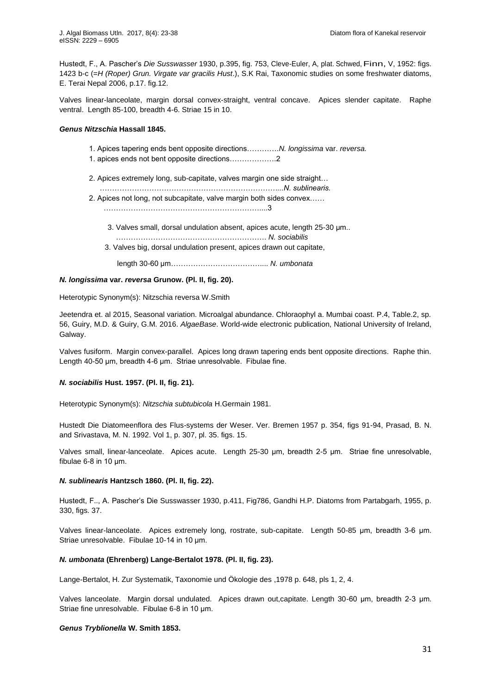Hustedt, F , A Pascher's *Die Susswasser* 1930, p.395, fig. 753, Cleve-Euler, A, plat. Schwed, Finn, V, 1952: figs. 1423 b-c (=*H (Roper) Grun. Virgate var gracilis Hust*.), S.K Rai, Taxonomic studies on some freshwater diatoms, E. Terai Nepal 2006, p.17. fig.12.

Valves linear-lanceolate, margin dorsal convex-straight, ventral concave. Apices slender capitate. Raphe ventral. Length 85-100, breadth 4-6. Striae 15 in 10.

# *Genus Nitzschia* **Hassall 1845.**

- 1 Apices tapering ends bent opposite directions………… *[N.](http://www.algaebase.org/search/?genus=Nitzschia) longissima* var. *reversa.*
- 1 apices ends not bent opposite directions……………… 2
- 2. Apices extremely long, sub-capitate, valves margin one side straight…
- *………………………………………………………………...N. sublinearis.* 2 Apices not long, not subcapitate, valve margin both sides convex……

……………………………………………………… 3

3. Valves small, dorsal undulation absent, apices acute, length 25-30  $\mu$ m...

 …………………………………………………… *N. sociabilis* 3. Valves big, dorsal undulation present, apices drawn out capitate,

length 30-6 μm……………………………… *N. umbonata*

### *[N.](http://www.algaebase.org/search/?genus=Nitzschia) longissima* **var.** *reversa* **Grunow. (Pl. II, fig. 20).**

Heterotypic Synonym(s): [Nitzschia reversa W.Smith](http://www.algaebase.org/search/species/detail/?species_id=jd5208d543294ab88)

Jeetendra et. al 2015, Seasonal variation. Microalgal abundance. Chloraophyl a. Mumbai coast. P.4, Table.2, sp. 56, Guiry, M.D. & Guiry, G.M. 2016. *AlgaeBase*. World-wide electronic publication, National University of Ireland, Galway.

Valves fusiform. Margin convex-parallel. Apices long drawn tapering ends bent opposite directions. Raphe thin. Length 40-50 μm, breadth 4-6 μm. Striae unresolvable. Fibulae fine.

# *N. sociabilis* **Hust. 1957. (Pl. II, fig. 21).**

Heterotypic Synonym(s): *[Nitzschia subtubicola](http://www.algaebase.org/search/species/detail/?species_id=h784c3d71226c8635)* H.Germain 1981.

Hustedt Die Diatomeenflora des Flus-systems der Weser. Ver. Bremen 1957 p. 354, figs 91-94, Prasad, B. N. and Srivastava, M. N. 1992. Vol 1, p. 307, pl. 35. figs. 15.

Valves small, linear-lanceolate. Apices acute. Length 25-30 μm, breadth 2-5 μm. Striae fine unresolvable, fibulae  $6-8$  in 10  $\mu$ m.

# *N. sublinearis* **Hantzsch 1860. (Pl. II, fig. 22).**

Hustedt, F.., A. Pascher's Die Susswasser 1930, p.411, Fig786, Gandhi H.P. Diatoms from Partabgarh, 1955, p. 330, figs. 37.

Valves linear-lanceolate. Apices extremely long, rostrate, sub-capitate. Length 50-85 μm, breadth 3-6 μm Striae unresolvable. Fibulae 10-14 in 10 µm.

# *N. umbonata* **(Ehrenberg) Lange-Bertalot 1978. (Pl. II, fig. 23).**

Lange-Bertalot, H. Zur Systematik, Taxonomie und Ökologie des ,1978 p. 648, pls 1, 2, 4.

Valves lanceolate. Margin dorsal undulated. Apices drawn out,capitate. Length 30-60 μm, breadth 2-3 μm. Striae fine unresolvable. Fibulae 6-8 in 10 μm.

# *Genus Tryblionella* **W. Smith 1853.**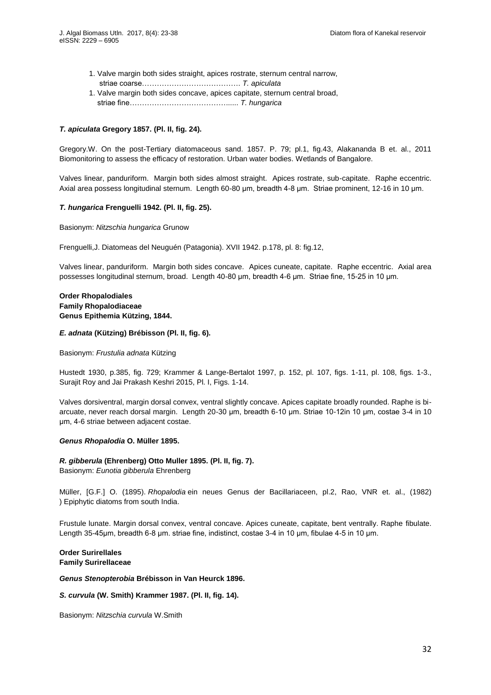- 1. Valve margin both sides straight, apices rostrate, sternum central narrow, striae coarse………………………………… *T. apiculata*
- 1. Valve margin both sides concave, apices capitate, sternum central broad, striae fine………………………………… *T. hungarica*

# *T. apiculata* **Gregory 1857. (Pl. II, fig. 24).**

Gregory.W. On the post-Tertiary diatomaceous sand. 1857. P. 79; pl.1, fig.43, Alakananda B et. al., 2011 Biomonitoring to assess the efficacy of restoration. Urban water bodies. Wetlands of Bangalore.

Valves linear, panduriform. Margin both sides almost straight. Apices rostrate, sub-capitate. Raphe eccentric. Axial area possess longitudinal sternum. Length 60-80 μm, breadth 4-8 μm. Striae prominent, 12-16 in 10 μm.

# *T. hungarica* **Frenguelli 1942. (Pl. II, fig. 25).**

Basionym: *[Nitzschia hungarica](http://www.algaebase.org/search/species/detail/?species_id=g52a9de1f4fa93916)* Grunow

Frenguelli,J. Diatomeas del Neuguén (Patagonia). XVII 1942. p.178, pl. 8: fig.12,

Valves linear, panduriform. Margin both sides concave. Apices cuneate, capitate. Raphe eccentric. Axial area possesses longitudinal sternum, broad. Length 40-80 μm, breadth 4-6 μm. Striae fine, 15-25 in 10 μm.

# **Order [Rhopalodiales](http://www.algaebase.org/browse/taxonomy/?id=77852) Family [Rhopalodiaceae](http://www.algaebase.org/browse/taxonomy/?id=77891) Genus Epithemia Kützing, 1844.**

# *E. adnata* **(Kützing) Brébisson (Pl. II, fig. 6).**

Basionym: *[Frustulia adnata](http://www.algaebase.org/search/species/detail/?species_id=C1a9072a2cdf16d38)* Kützing

Hustedt 1930, p.385, fig. 729; Krammer & Lange-Bertalot 1997, p. 152, pl. 107, figs. 1-11, pl. 108, figs. 1-3., Surajit Roy and Jai Prakash Keshri 2015, Pl. I, Figs. 1-14.

Valves dorsiventral, margin dorsal convex, ventral slightly concave. Apices capitate broadly rounded. Raphe is biarcuate, never reach dorsal margin. Length 20-30 μm, breadth 6-10 μm. Striae 10-12in 10 μm, costae 3-4 in 10 μm, 4-6 striae between adjacent costae.

# *Genus Rhopalodia* **O. Müller 1895.**

*R. gibberula* **(Ehrenberg) Otto Muller 1895. (Pl. II, fig. 7).** Basionym: *[Eunotia gibberula](http://www.algaebase.org/search/species/detail/?species_id=K4503c130680edf7d)* Ehrenberg

Müller, [G.F.] O. (1895). *Rhopalodia* ein neues Genus der Bacillariaceen, pl.2, Rao, VNR et. al., (1982) ) Epiphytic diatoms from south India.

Frustule lunate. Margin dorsal convex, ventral concave. Apices cuneate, capitate, bent ventrally. Raphe fibulate. Length 35-45μm, breadth 6-8 μm, striae fine, indistinct, costae 3-4 in 10 μm, fibulae 4-5 in 10 μm.

# **Order [Surirellales](http://www.algaebase.org/browse/taxonomy/?id=77845) Family [Surirellaceae](http://www.algaebase.org/browse/taxonomy/?id=77884)**

*Genus Stenopterobia* **Brébisson in Van Heurck 1896.**

*S. curvula* **(W. Smith) Krammer 1987. (Pl. II, fig. 14).**

Basionym: *[Nitzschia curvula](http://www.algaebase.org/search/species/detail/?species_id=D3711576d2d8f2017)* W.Smith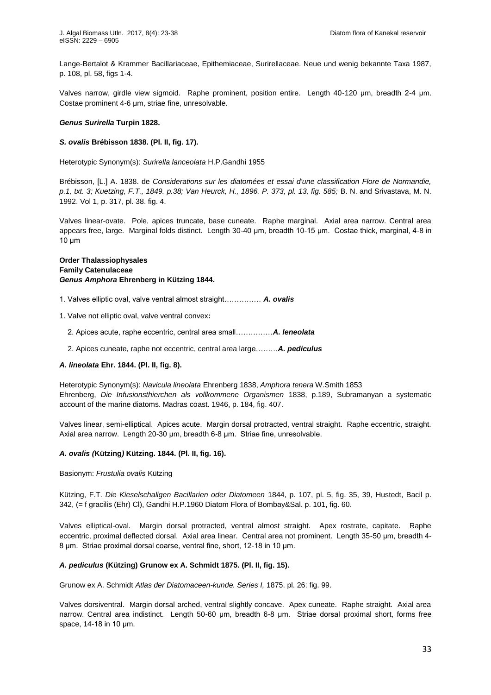Lange-Bertalot & Krammer Bacillariaceae, Epithemiaceae, Surirellaceae. Neue und wenig bekannte Taxa 1987, p. 108, pl. 58, figs 1-4.

Valves narrow, girdle view sigmoid. Raphe prominent, position entire. Length 40-120 μm, breadth 2-4 μm Costae prominent 4-6 μm, striae fine, unresolvable.

### *Genus Surirella* **Turpin 1828.**

### *S. ovalis* **Brébisson 1838. (Pl. II, fig. 17).**

Heterotypic Synonym(s): *[Surirella lanceolata](http://www.algaebase.org/search/species/detail/?species_id=R62231008e7ddb570)* H.P.Gandhi 1955

Brébisson, [L.] A. 1838. de *Considerations sur les diatomées et essai d'une classification Flore de Normandie, p.1, txt. 3; Kuetzing, F.T., 1849. p.38; Van Heurck, H., 1896. P. 373, pl. 13, fig. 585;* B. N. and Srivastava, M. N. 1992. Vol 1, p. 317, pl. 38. fig. 4.

Valves linear-ovate. Pole, apices truncate, base cuneate. Raphe marginal. Axial area narrow. Central area appears free, large. Marginal folds distinct. Length 30-40 μm, breadth 10-15 μm. Costae thick, marginal, 4-8 in  $10 \mu m$ 

# **Order Thalassiophysales Family Catenulaceae**  *Genus Amphora* **Ehrenberg in Kützing 1844.**

- 1 Valves elliptic oval, valve ventral almost straight…………… *A. ovalis*
- 1. Valve not elliptic oval, valve ventral convex**:** 
	- 2 Apices acute, raphe eccentric, central area small……………*A. leneolata*
	- 2. Apices cuneate, raphe not eccentric, central area large………*A. pediculus*

# *A. lineolata* **Ehr. 1844. (Pl. II, fig. 8).**

Heterotypic Synonym(s): *[Navicula lineolata](http://www.algaebase.org/search/species/detail/?species_id=Xae66257cfcf604d6)* Ehrenberg 1838, *[Amphora tenera](http://www.algaebase.org/search/species/detail/?species_id=S0b9591d434c0ba39)* W.Smith 1853 Ehrenberg, *Die Infusionsthierchen als vollkommene Organismen* 1838, p.189, Subramanyan a systematic account of the marine diatoms. Madras coast. 1946, p. 184, fig. 407.

Valves linear, semi-elliptical. Apices acute. Margin dorsal protracted, ventral straight. Raphe eccentric, straight. Axial area narrow. Length 20-30 μm, breadth 6-8 μm. Striae fine, unresolvable.

#### *A. ovalis (***Kützing***)* **Kützing. 1844. (Pl. II, fig. 16).**

Basionym: *[Frustulia ovalis](http://algaebase.org/search/species/detail/?species_id=sb5f3522a519a2d11)* Kützing

Kützing, F.T. *Die Kieselschaligen Bacillarien oder Diatomeen* 1844, p. 107, pl. 5, fig. 35, 39, Hustedt, Bacil p. 342, (= f gracilis (Ehr) Cl), Gandhi H.P.1960 Diatom Flora of Bombay&Sal. p. 101, fig. 60.

Valves elliptical-oval. Margin dorsal protracted, ventral almost straight. Apex rostrate, capitate. Raphe eccentric, proximal deflected dorsal. Axial area linear. Central area not prominent. Length 35-50 μm, breadth 4-8 μm. Striae proximal dorsal coarse, ventral fine, short, 12-18 in 10 μm.

#### *A. pediculus* **(Kützing) Grunow ex A. Schmidt 1875. (Pl. II, fig. 15).**

Grunow ex A. Schmidt *Atlas der Diatomaceen-kunde. Series I,* 1875. pl. 26: fig. 99.

Valves dorsiventral. Margin dorsal arched, ventral slightly concave. Apex cuneate. Raphe straight. Axial area narrow. Central area indistinct. Length 50-60 μm, breadth 6-8 μm. Striae dorsal proximal short, forms free space, 14-18 in 10 μm.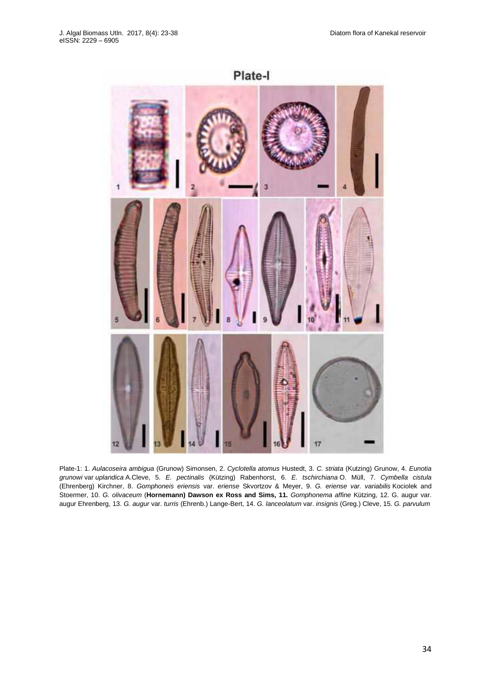

Plate-1: 1. *Aulacoseira ambigua* (Grunow) Simonsen, 2. *Cyclotella atomus* Hustedt, 3. *C. striata* (Kutzing) Grunow, 4. *Eunotia grunowi* var *uplandica* A.Cleve, 5. *E. pectinalis* (Kützing) Rabenhorst, 6. *E. tschirchiana* O. Müll, 7. *Cymbella cistula*  (Ehrenberg) Kirchner, 8. *Gomphoneis eriensis* var. *eriense* Skvortzov & Meyer, 9. *G. eriense var. variabilis* Kociolek and Stoermer, 10. *G. olivaceum* (**Hornemann) Dawson ex Ross and Sims, 11.** *Gomphonema affine* Kützing, 12. G. augur var. augur Ehrenberg, 13. *G. augur* var. *turris* (Ehrenb.) Lange-Bert, 14. *G. lanceolatum* var. *insignis* (Greg.) Cleve, 15. *G. parvulum*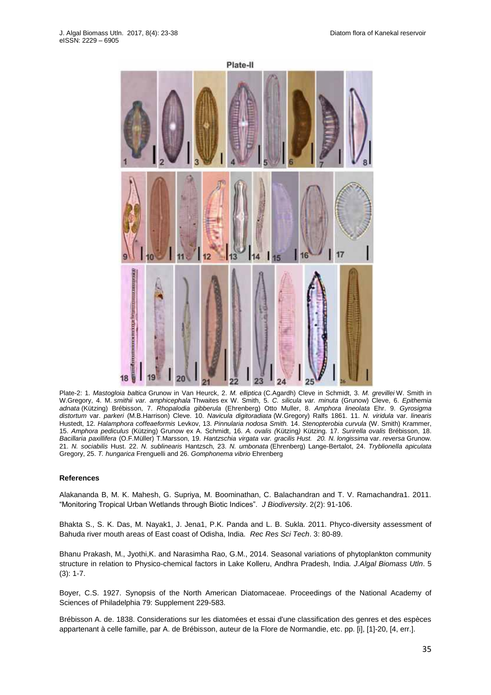

Plate-2: 1. *Mastogloia baltica* Grunow in Van Heurck, 2. *M. elliptica* (C.Agardh) Cleve in Schmidt, 3. *M. grevillei* W. Smith in W.Gregory, 4. [M.](http://www.algaebase.org/search/?genus=Mastogloia) *smithii var. amphicephala* Thwaites ex W. Smith, 5. *C. silicula var. minuta* (Grunow) Cleve, 6. *Epithemia adnata* (Kützing) Brébisson, 7. *Rhopalodia gibberula* (Ehrenberg) Otto Muller, 8. *Amphora lineolata* Ehr. 9. *Gyrosigma distortum* var. *parkeri* (M.B.Harrison) Cleve. 10. *Navicula digitoradiata* (W.Gregory) Ralfs 1861. 11. *N. viridula* var. *linearis*  Hustedt, 12. *Halamphora coffeaeformis* Levkov, 13. *Pinnularia nodosa Smith.* 14. *Stenopterobia curvula* (W. Smith) Krammer, 15. *Amphora pediculus* (Kützing) Grunow ex A. Schmidt, 16. *A. ovalis (*Kützing*)* Kützing. 17. *Surirella ovalis* Brébisson, 18. *Bacillaria paxillifera* (O.F.Müller) T.Marsson, 19. *Hantzschia virgata var. gracilis Hust. 20. [N.](http://www.algaebase.org/search/?genus=Nitzschia) longissima* var. *reversa* Grunow. 21. *N. sociabilis* Hust. 22. *N. sublinearis* Hantzsch, 23. *N. umbonata* (Ehrenberg) Lange-Bertalot, 24. *Tryblionella apiculata*  Gregory, 25. *T. hungarica* Frenguelli and 26. *Gomphonema vibrio* Ehrenberg

# **References**

Alakananda B, M. K. Mahesh, G. Supriya, M. Boominathan, C. Balachandran and T. V. Ramachandra1. 2011. "Monitoring Tropical Urban Wetlands through Biotic Indices" *J Biodiversity*. 2(2): 91-106.

Bhakta S., S. K. Das, M. Nayak1, J. Jena1, P.K. Panda and L. B. Sukla. 2011. Phyco-diversity assessment of Bahuda river mouth areas of East coast of Odisha, India. *Rec Res Sci Tech*. 3: 80-89.

Bhanu Prakash, M., Jyothi,K. and Narasimha Rao, G.M., 2014. Seasonal variations of phytoplankton community structure in relation to Physico-chemical factors in Lake Kolleru, Andhra Pradesh, India*. J.Algal Biomass Utln*. 5 (3): 1-7.

Boyer, C.S. 1927. Synopsis of the North American Diatomaceae. Proceedings of the National Academy of Sciences of Philadelphia 79: Supplement 229-583.

Brébisson A. de. 1838. Considerations sur les diatomées et essai d'une classification des genres et des espèces appartenant à celle famille, par A. de Brébisson, auteur de la Flore de Normandie, etc. pp. [i], [1]-20, [4, err.].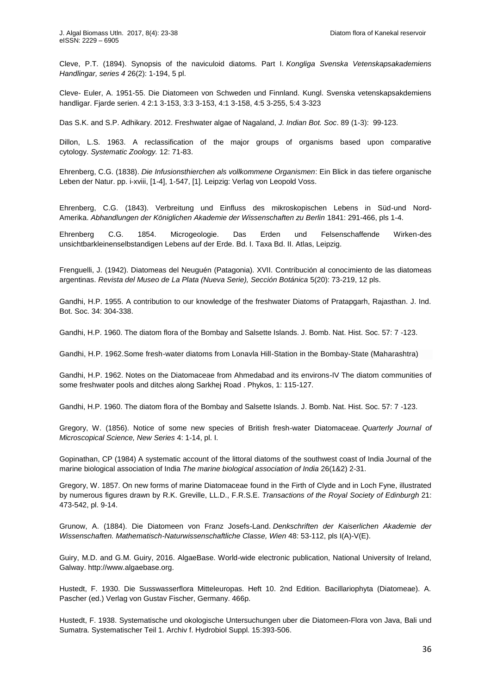Cleve, P.T. (1894). Synopsis of the naviculoid diatoms. Part I. *Kongliga Svenska Vetenskapsakademiens Handlingar, series 4* 26(2): 1-194, 5 pl.

Cleve- Euler, A. 1951-55. Die Diatomeen von Schweden und Finnland. Kungl. Svenska vetenskapsakdemiens handligar. Fjarde serien. 4 2:1 3-153, 3:3 3-153, 4:1 3-158, 4:5 3-255, 5:4 3-323

Das S.K. and S.P. Adhikary. 2012. Freshwater algae of Nagaland, *J. Indian Bot. Soc*. 89 (1-3): 99-123.

Dillon, L.S. 1963. A reclassification of the major groups of organisms based upon comparative cytology. *Systematic Zoology.* 12: 71-83.

Ehrenberg, C.G. (1838). *Die Infusionsthierchen als vollkommene Organismen*: Ein Blick in das tiefere organische Leben der Natur. pp. i-xviii, [1-4], 1-547, [1]. Leipzig: Verlag von Leopold Voss.

Ehrenberg, C.G. (1843). Verbreitung und Einfluss des mikroskopischen Lebens in Süd-und Nord-Amerika. *Abhandlungen der Königlichen Akademie der Wissenschaften zu Berlin* 1841: 291-466, pls 1-4.

Ehrenberg C.G. 1854. Microgeologie. Das Erden und Felsenschaffende Wirken-des unsichtbarkleinenselbstandigen Lebens auf der Erde. Bd. I. Taxa Bd. II. Atlas, Leipzig.

Frenguelli, J. (1942). Diatomeas del Neuguén (Patagonia). XVII. Contribución al conocimiento de las diatomeas argentinas. *Revista del Museo de La Plata (Nueva Serie), Sección Botánica* 5(20): 73-219, 12 pls.

[Gandhi, H.P. 1955. A contribution to our knowledge of the freshwater Diatoms of Pratapgarh, Rajasthan. J. Ind.](http://wgbis.ces.iisc.ernet.in/biodiversity/sahyadri_enews/newsletter/issue26/article2/Gandhi%20list/1955,%20A%20contribution%20to%20our%20knowledge%20of%20the%20freshwater%20Diatoms%20of%20Pratapgarh,%20Rajasthan.pdf)  [Bot. Soc. 34: 304-338.](http://wgbis.ces.iisc.ernet.in/biodiversity/sahyadri_enews/newsletter/issue26/article2/Gandhi%20list/1955,%20A%20contribution%20to%20our%20knowledge%20of%20the%20freshwater%20Diatoms%20of%20Pratapgarh,%20Rajasthan.pdf)

[Gandhi, H.P. 1960. The diatom flora of the Bombay and Salsette Islands. J. Bomb. Nat. Hist. Soc. 57: 7 -123.](http://wgbis.ces.iisc.ernet.in/biodiversity/sahyadri_enews/newsletter/issue26/article2/Gandhi%20list/1960,%20The%20diatom%20flora%20of%20the%20Bombay%20and%20Salsette%20islands.pdf)

Gandhi, H.P. 1962.Some fresh-water diatoms from Lonavla Hill-Station in the Bombay-State (Maharashtra)

[Gandhi, H.P. 1962. Notes on the Diatomaceae from Ahmedabad and its environs-IV The diatom communities of](http://wgbis.ces.iisc.ernet.in/biodiversity/sahyadri_enews/newsletter/issue26/article2/Gandhi%20list/1962,%20Notes%20on%20the%20diatomaceae%20from%20Ahmedabad%20and%20its%20environs%20%E2%80%94%20IV%20The%20diatom%20communities%20of%20some%20freshwater%20pools%20and%20ditches%20along%20Sarkaj%20Road.pdf)  [some freshwater pools and ditches along Sarkhej Road . Phykos, 1: 115-127.](http://wgbis.ces.iisc.ernet.in/biodiversity/sahyadri_enews/newsletter/issue26/article2/Gandhi%20list/1962,%20Notes%20on%20the%20diatomaceae%20from%20Ahmedabad%20and%20its%20environs%20%E2%80%94%20IV%20The%20diatom%20communities%20of%20some%20freshwater%20pools%20and%20ditches%20along%20Sarkaj%20Road.pdf)

[Gandhi, H.P. 1960. The diatom flora of the Bombay and Salsette Islands. J. Bomb. Nat. Hist. Soc. 57: 7 -123.](http://wgbis.ces.iisc.ernet.in/biodiversity/sahyadri_enews/newsletter/issue26/article2/Gandhi%20list/1960,%20The%20diatom%20flora%20of%20the%20Bombay%20and%20Salsette%20islands.pdf)

Gregory, W. (1856). Notice of some new species of British fresh-water Diatomaceae. *Quarterly Journal of Microscopical Science, New Series* 4: 1-14, pl. I.

Gopinathan, CP (1984) A systematic account of the littoral diatoms of the southwest coast of India Journal of the marine biological association of India *The marine biological association of India* 26(1&2) 2-31.

Gregory, W. 1857. On new forms of marine Diatomaceae found in the Firth of Clyde and in Loch Fyne, illustrated by numerous figures drawn by R.K. Greville, LL.D., F.R.S.E. *Transactions of the Royal Society of Edinburgh* 21: 473-542, pl. 9-14.

Grunow, A. (1884). Die Diatomeen von Franz Josefs-Land. *Denkschriften der Kaiserlichen Akademie der Wissenschaften. Mathematisch-Naturwissenschaftliche Classe, Wien* 48: 53-112, pls I(A)-V(E).

Guiry, M.D. and G.M. Guiry, 2016. AlgaeBase. World-wide electronic publication, National University of Ireland, Galway. http://www.algaebase.org.

Hustedt, F. 1930. Die Susswasserflora Mitteleuropas. Heft 10. 2nd Edition. Bacillariophyta (Diatomeae). A. Pascher (ed.) Verlag von Gustav Fischer, Germany. 466p.

Hustedt, F. 1938. Systematische und okologische Untersuchungen uber die Diatomeen-Flora von Java, Bali und Sumatra. Systematischer Teil 1. Archiv f. Hydrobiol Suppl. 15:393-506.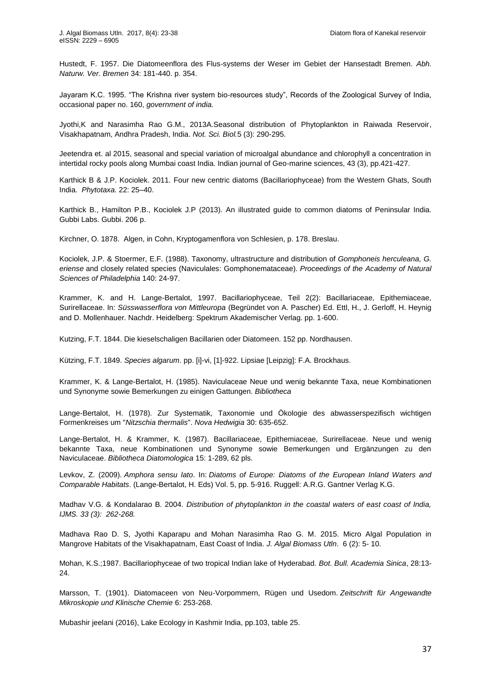Hustedt, F. 1957. Die Diatomeenflora des Flus-systems der Weser im Gebiet der Hansestadt Bremen. *Abh. Naturw. Ver. Bremen* 34: 181-440. p. 354.

Jayaram K.C. 1995. "The Krishna river system bio-resources study", Records of the Zoological Survey of India, occasional paper no. 160, *government of india.*

Jyothi,K and Narasimha Rao G.M., 2013A.Seasonal distribution of Phytoplankton in Raiwada Reservoir, Visakhapatnam, Andhra Pradesh, India. *Not. Sci. Biol.*5 (3): 290-295.

Jeetendra et. al 2015, seasonal and special variation of microalgal abundance and chlorophyll a concentration in intertidal rocky pools along Mumbai coast India. Indian journal of Geo-marine sciences, 43 (3), pp.421-427.

Karthick B & J.P. Kociolek. 2011. Four new centric diatoms (Bacillariophyceae) from the Western Ghats, South India. *Phytotaxa.* 22: 25–40.

Karthick B., Hamilton P.B., Kociolek J.P (2013). An illustrated guide to common diatoms of Peninsular India. Gubbi Labs. Gubbi. 206 p.

Kirchner, O. 1878. Algen, in Cohn, Kryptogamenflora von Schlesien, p. 178. Breslau.

Kociolek, J.P. & Stoermer, E.F. (1988). Taxonomy, ultrastructure and distribution of *Gomphoneis herculeana, G. eriense* and closely related species (Naviculales: Gomphonemataceae). *Proceedings of the Academy of Natural Sciences of Philadelphia* 140: 24-97.

Krammer, K. and H. Lange-Bertalot, 1997. Bacillariophyceae, Teil 2(2): Bacillariaceae, Epithemiaceae, Surirellaceae. In: *Süsswasserflora von Mittleuropa* (Begründet von A. Pascher) Ed. Ettl, H., J. Gerloff, H. Heynig and D. Mollenhauer. Nachdr. Heidelberg: Spektrum Akademischer Verlag. pp. 1-600.

Kutzing, F.T. 1844. Die kieselschaligen Bacillarien oder Diatomeen. 152 pp. Nordhausen.

Kützing, F.T. 1849. *Species algarum*. pp. [i]-vi, [1]-922. Lipsiae [Leipzig]: F.A. Brockhaus.

Krammer, K. & Lange-Bertalot, H. (1985). Naviculaceae Neue und wenig bekannte Taxa, neue Kombinationen und Synonyme sowie Bemerkungen zu einigen Gattungen. *Bibliotheca* 

Lange-Bertalot, H. (1978). Zur Systematik, Taxonomie und Ökologie des abwasserspezifisch wichtigen Formenkreises um "*Nitzschia thermalis*". *Nova Hedwigia* 30: 635-652.

Lange-Bertalot, H. & Krammer, K. (1987). Bacillariaceae, Epithemiaceae, Surirellaceae. Neue und wenig bekannte Taxa, neue Kombinationen und Synonyme sowie Bemerkungen und Ergänzungen zu den Naviculaceae. *Bibliotheca Diatomologica* 15: 1-289, 62 pls.

Levkov, Z. (2009). *Amphora sensu lato*. In: *Diatoms of Europe: Diatoms of the European Inland Waters and Comparable Habitats*. (Lange-Bertalot, H. Eds) Vol. 5, pp. 5-916. Ruggell: A.R.G. Gantner Verlag K.G.

Madhav V.G. & Kondalarao B. 2004. *Distribution of phytoplankton in the coastal waters of east coast of India, IJMS. 33 (3): 262-268.*

Madhava Rao D. S, Jyothi Kaparapu and Mohan Narasimha Rao G. M. 2015. Micro Algal Population in Mangrove Habitats of the Visakhapatnam, East Coast of India. *J. Algal Biomass Utln*. 6 (2): 5- 10.

Mohan, K.S.;1987. Bacillariophyceae of two tropical Indian lake of Hyderabad. *Bot. Bull. Academia Sinica*, 28:13- 24.

Marsson, T. (1901). Diatomaceen von Neu-Vorpommern, Rügen und Usedom. *Zeitschrift für Angewandte Mikroskopie und Klinische Chemie* 6: 253-268.

Mubashir jeelani (2016), Lake Ecology in Kashmir India, pp.103, table 25.